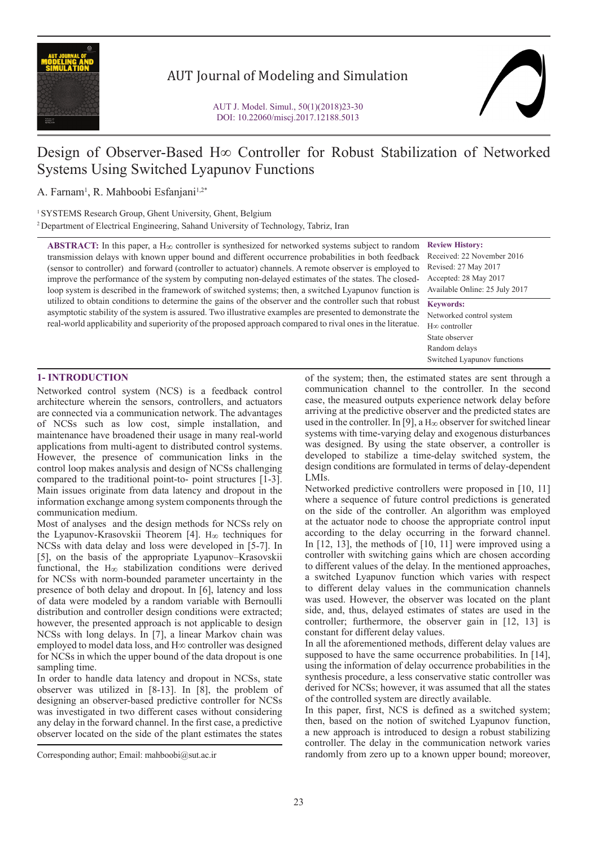

# AUT Journal of Modeling and Simulation

# Design of Observer-Based H∞ Controller for Robust Stabilization of Networked Systems Using Switched Lyapunov Functions

A. Farnam<sup>1</sup>, R. Mahboobi Esfanjani<sup>1,2\*</sup>

<sup>1</sup> SYSTEMS Research Group, Ghent University, Ghent, Belgium

<sup>2</sup> Department of Electrical Engineering, Sahand University of Technology, Tabriz, Iran

**ABSTRACT:** In this paper, a  $H_{\infty}$  controller is synthesized for networked systems subject to random transmission delays with known upper bound and different occurrence probabilities in both feedback (sensor to controller) and forward (controller to actuator) channels. A remote observer is employed to improve the performance of the system by computing non-delayed estimates of the states. The closedloop system is described in the framework of switched systems; then, a switched Lyapunov function is utilized to obtain conditions to determine the gains of the observer and the controller such that robust asymptotic stability of the system is assured. Two illustrative examples are presented to demonstrate the real-world applicability and superiority of the proposed approach compared to rival ones in the literatue.

**Review History:** Received: 22 November 2016 Revised: 27 May 2017 Accepted: 28 May 2017 Available Online: 25 July 2017 **Keywords:**

Networked control system H∞ controller State observer Random delays Switched Lyapunov functions

## **1- INTRODUCTION**

Networked control system (NCS) is a feedback control architecture wherein the sensors, controllers, and actuators are connected via a communication network. The advantages of NCSs such as low cost, simple installation, and maintenance have broadened their usage in many real-world applications from multi-agent to distributed control systems. However, the presence of communication links in the control loop makes analysis and design of NCSs challenging compared to the traditional point-to- point structures [1-3]. Main issues originate from data latency and dropout in the information exchange among system components through the communication medium.

Most of analyses and the design methods for NCSs rely on the Lyapunov-Krasovskii Theorem [4]. H∞ techniques for NCSs with data delay and loss were developed in [5-7]. In [5], on the basis of the appropriate Lyapunov–Krasovskii functional, the H∞ stabilization conditions were derived for NCSs with norm-bounded parameter uncertainty in the presence of both delay and dropout. In [6], latency and loss of data were modeled by a random variable with Bernoulli distribution and controller design conditions were extracted; however, the presented approach is not applicable to design NCSs with long delays. In [7], a linear Markov chain was employed to model data loss, and H∞ controller was designed for NCSs in which the upper bound of the data dropout is one sampling time.

In order to handle data latency and dropout in NCSs, state observer was utilized in [8-13]. In [8], the problem of designing an observer-based predictive controller for NCSs was investigated in two different cases without considering any delay in the forward channel. In the first case, a predictive observer located on the side of the plant estimates the states

of the system; then, the estimated states are sent through a communication channel to the controller. In the second case, the measured outputs experience network delay before arriving at the predictive observer and the predicted states are used in the controller. In [9], a H<sub>∞</sub> observer for switched linear systems with time-varying delay and exogenous disturbances was designed. By using the state observer, a controller is developed to stabilize a time-delay switched system, the design conditions are formulated in terms of delay-dependent LMIs.

Networked predictive controllers were proposed in [10, 11] where a sequence of future control predictions is generated on the side of the controller. An algorithm was employed at the actuator node to choose the appropriate control input according to the delay occurring in the forward channel. In [12, 13], the methods of [10, 11] were improved using a controller with switching gains which are chosen according to different values of the delay. In the mentioned approaches, a switched Lyapunov function which varies with respect to different delay values in the communication channels was used. However, the observer was located on the plant side, and, thus, delayed estimates of states are used in the controller; furthermore, the observer gain in [12, 13] is constant for different delay values.

In all the aforementioned methods, different delay values are supposed to have the same occurrence probabilities. In [14], using the information of delay occurrence probabilities in the synthesis procedure, a less conservative static controller was derived for NCSs; however, it was assumed that all the states of the controlled system are directly available.

In this paper, first, NCS is defined as a switched system; then, based on the notion of switched Lyapunov function, a new approach is introduced to design a robust stabilizing controller. The delay in the communication network varies randomly from zero up to a known upper bound; moreover,

Corresponding author; Email: mahboobi@sut.ac.ir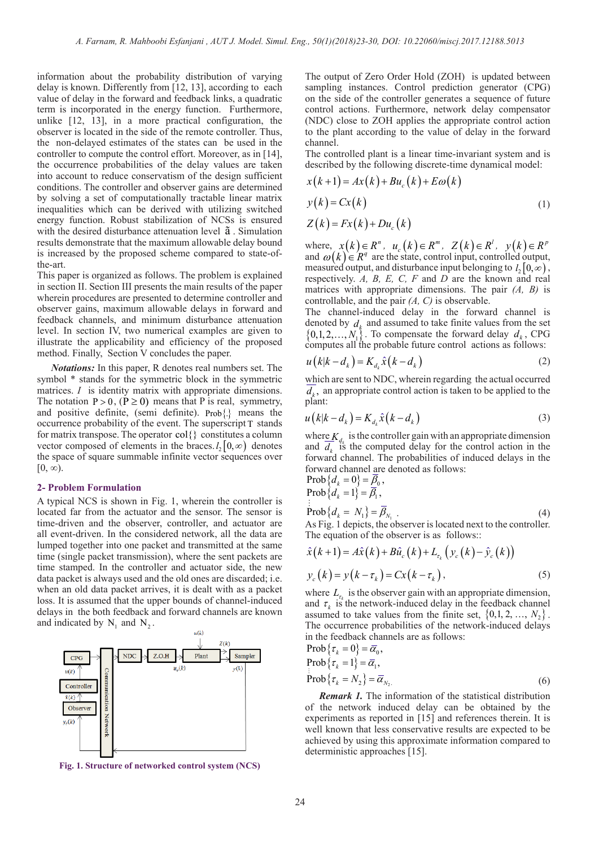information about the probability distribution of varying delay is known. Differently from [12, 13], according to each value of delay in the forward and feedback links, a quadratic term is incorporated in the energy function. Furthermore, unlike [12, 13], in a more practical configuration, the observer is located in the side of the remote controller. Thus, the non-delayed estimates of the states can be used in the controller to compute the control effort. Moreover, as in [14], the occurrence probabilities of the delay values are taken into account to reduce conservatism of the design sufficient conditions. The controller and observer gains are determined by solving a set of computationally tractable linear matrix inequalities which can be derived with utilizing switched energy function. Robust stabilization of NCSs is ensured with the desired disturbance attenuation level ã . Simulation results demonstrate that the maximum allowable delay bound is increased by the proposed scheme compared to state-ofthe-art.

This paper is organized as follows. The problem is explained in section II. Section III presents the main results of the paper wherein procedures are presented to determine controller and observer gains, maximum allowable delays in forward and feedback channels, and minimum disturbance attenuation level. In section IV, two numerical examples are given to illustrate the applicability and efficiency of the proposed method. Finally, Section V concludes the paper.

*Notations:* In this paper, R denotes real numbers set. The symbol \* stands for the symmetric block in the symmetric matrices. *I* is identity matrix with appropriate dimensions. The notation  $P > 0$ ,  $(P \ge 0)$  means that P is real, symmetry, and positive definite, (semi definite).  $Prob$  ? means the occurrence probability of the event. The superscript  $T$  stands for matrix transpose. The operator  $col\{\}$  constitutes a column for matrix transpose. The operator col{ } constitutes a column vector composed of elements in the braces. $l_2$  [0, $\infty$ ) denotes the space of square summable infinite vector sequences over  $[0, \infty)$ .

#### **2- Problem Formulation**

A typical NCS is shown in Fig. 1, wherein the controller is located far from the actuator and the sensor. The sensor is time-driven and the observer, controller, and actuator are all event-driven. In the considered network, all the data are lumped together into one packet and transmitted at the same time (single packet transmission), where the sent packets are time stamped. In the controller and actuator side, the new data packet is always used and the old ones are discarded; i.e. when an old data packet arrives, it is dealt with as a packet loss. It is assumed that the upper bounds of channel-induced delays in the both feedback and forward channels are known and indicated by  $N_1$  and  $N_2$ .



**Fig. 1. Structure of networked control system (NCS)**

The output of Zero Order Hold (ZOH) is updated between sampling instances. Control prediction generator (CPG) on the side of the controller generates a sequence of future control actions. Furthermore, network delay compensator (NDC) close to ZOH applies the appropriate control action to the plant according to the value of delay in the forward channel.

The controlled plant is a linear time-invariant system and is described by the following discrete-time dynamical model:

$$
x(k+1) = Ax(k) + Bu_c(k) + E\omega(k)
$$
  
\n
$$
y(k) = Cx(k)
$$
  
\n
$$
Z(k) = Fx(k) + Du_c(k)
$$
\n(1)

where,  $x(k) \in R^n$ ,  $u_c(k) \in R^m$ ,  $Z(k) \in R^l$ ,  $y(k) \in R^p$ and  $\omega(k) \in R^q$  are the state, control input, controlled output, measured output, and disturbance input belonging to  $l_2 [0, \infty)$ , respectively. *A, B, E, C, F* and *D* are the known and real matrices with appropriate dimensions. The pair *(A, B)* is controllable, and the pair *(A, C)* is observable.

The channel-induced delay in the forward channel is denoted by  $d_k$  and assumed to take finite values from the set  $\{0,1,2,\ldots,N_1\}$ . To compensate the forward delay  $d_k$ , CPG computes all the probable future control actions as follows:

$$
u(k|k - d_k) = K_{d_k} \hat{x}(k - d_k)
$$
\n<sup>(2)</sup>

which are sent to NDC, wherein regarding the actual occurred  $d<sub>k</sub>$ , an appropriate control action is taken to be applied to the plant:

$$
u(k|k - d_k) = K_{d_k} \hat{x}(k - d_k)
$$
\n(3)

where  $K_{d_k}$  is the controller gain with an appropriate dimension and  $d_k$  is the computed delay for the control action in the forward channel. The probabilities of induced delays in the forward channel are denoted as follows:

$$
\begin{array}{l}\n\text{Prob}\left\{d_k = 0\right\} = \underline{\beta}_0, \\
\text{Prob}\left\{d_k = 1\right\} = \overline{\beta}_1,\n\end{array}
$$

ŧ,

 ${\rm Prob}\{d_k = N_1\} = \beta_{N_1}$  (4) As Fig. 1 depicts, the observer is located next to the controller. The equation of the observer is as follows::

$$
\hat{x}(k+1) = A\hat{x}(k) + B\hat{u}_c(k) + L_{\tau_k} (y_c(k) - \hat{y}_c(k))
$$
  

$$
y_c(k) = y(k - \tau_k) = Cx(k - \tau_k),
$$
 (5)

where  $L_{\tau_{\nu}}$  is the observer gain with an appropriate dimension, and  $\tau_k$  is the network-induced delay in the feedback channel assumed to take values from the finite set,  $\{0,1, 2, ..., N_2\}$ . The occurrence probabilities of the network-induced delays in the feedback channels are as follows:<br> $ext{Prob}(\tau = 0) = \overline{\alpha}$ 

$$
\begin{aligned} &\text{Prob}\left\{\tau_k = 0\right\} = \overline{\alpha}_0, \\ &\text{Prob}\left\{\tau_k = 1\right\} = \overline{\alpha}_1, \\ &\text{Prob}\left\{\tau_k = \overline{\alpha}_1, \overline{\alpha}_1\right\} = \overline{\alpha}_1. \end{aligned}
$$

$$
Prob{\tau_k = N_2} = \overline{\alpha}_{N_2}.
$$
 (6)

*Remark 1.* The information of the statistical distribution of the network induced delay can be obtained by the experiments as reported in [15] and references therein. It is well known that less conservative results are expected to be achieved by using this approximate information compared to deterministic approaches [15].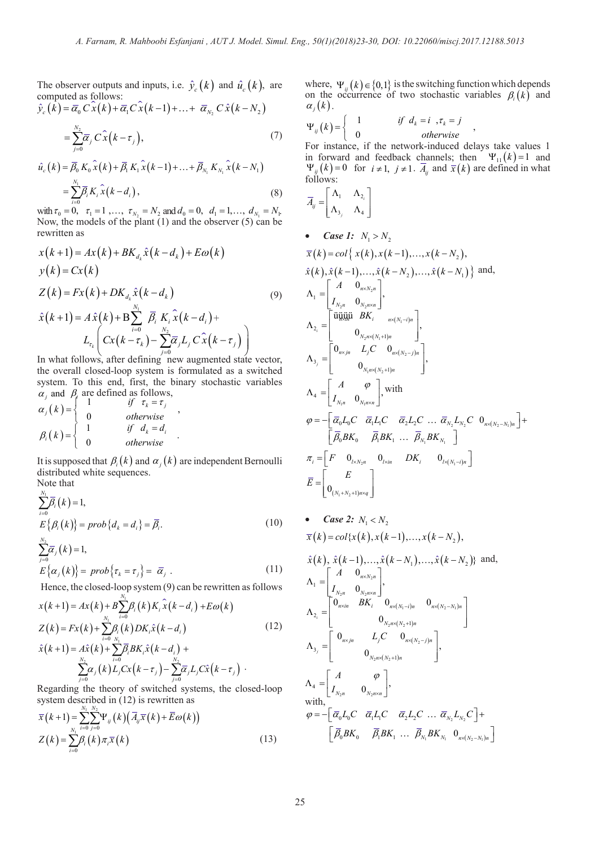The observer outputs and inputs, i.e.  $\hat{y}_c(k)$  and  $\hat{u}_c(k)$ , are

computed as follows:  
\n
$$
\hat{y}_c(k) = \overline{\alpha}_0 C \hat{x}(k) + \overline{\alpha}_1 C \hat{x}(k-1) + ... + \overline{\alpha}_{N_2} C \hat{x}(k-N_2)
$$

$$
=\sum_{j=0}^{N_2}\overline{\alpha}_j\,C\,\hat{x}\left(k-\tau_j\right),\tag{7}
$$

$$
\hat{u}_c(k) = \overline{\beta}_0 K_0 \hat{x}(k) + \overline{\beta}_1 K_1 \hat{x}(k-1) + \dots + \overline{\beta}_{N_1} K_{N_1} \hat{x}(k-N_1)
$$
  
= 
$$
\sum_{i=0}^{N_1} \overline{\beta}_i K_i \hat{x}(k-d_i),
$$
 (8)

with  $\tau_0 = 0$ ,  $\tau_1 = 1$ , ...,  $\tau_{N_2} = N_2$  and  $d_0 = 0$ ,  $d_1 = 1$ , ...,  $d_{N_1} = N_1$ . Now, the models of the plant (1) and the observer (5) can be rewritten as

$$
x(k+1) = Ax(k) + BK_{d_k}\hat{x}(k - d_k) + E\omega(k)
$$
  
\n
$$
y(k) = Cx(k)
$$
  
\n
$$
Z(k) = Fx(k) + DK_{d_k}\hat{x}(k - d_k)
$$
  
\n
$$
\hat{x}(k+1) = A\hat{x}(k) + B\sum_{i=0}^{N_1} \overline{\beta}_i K_i \hat{x}(k - d_i) +
$$
  
\n
$$
L_{\tau_k} \left( Cx(k - \tau_k) - \sum_{j=0}^{N_2} \overline{\alpha}_j L_j C \hat{x}(k - \tau_j) \right)
$$
  
\nIn what follows, after defining now augmented state vector.

In what follows, after defining new augmented state vector, the overall closed-loop system is formulated as a switched system. To this end, first, the binary stochastic variables  $\alpha_j$  and  $\beta_i$  are defined as follows,

$$
\alpha_j(k) = \begin{cases}\n1 & \text{if } \tau_k = \tau_j \\
0 & \text{otherwise} \n\end{cases},
$$
\n
$$
\beta_i(k) = \begin{cases}\n1 & \text{if } d_k = d_i \\
0 & \text{otherwise}\n\end{cases}.
$$

It is supposed that  $\beta_i(k)$  and  $\alpha_i(k)$  are independent Bernoulli distributed white sequences. Note that

*N*

$$
\sum_{i=0}^{N_1} \overline{\beta}_i(k) = 1,
$$
\n
$$
E\{\beta_i(k)\} = prob\{d_k = d_i\} = \overline{\beta}_i.
$$
\n
$$
\sum_{j=0}^{N_2} \overline{\alpha}_j(k) = 1,
$$
\n
$$
E\{\alpha_i(k)\} = prob\{\tau_k = \tau_j\} = \overline{\alpha}_j.
$$
\n(11)

Hence, the closed-loop system (9) can be rewritten as follows

$$
x(k+1) = Ax(k) + B \sum_{i=0}^{N_1} \beta_i(k) K_i \hat{x}(k - d_i) + E\omega(k)
$$
  
\n
$$
Z(k) = Fx(k) + \sum_{i=0}^{N_1} \beta_i(k) DK_i \hat{x}(k - d_i)
$$
  
\n
$$
\hat{x}(k+1) = A\hat{x}(k) + \sum_{i=0}^{N_1} \beta_i BK_i \hat{x}(k - d_i) + \sum_{j=0}^{N_2} \beta_j(K) L_j C x(k - \tau_j) - \sum_{j=0}^{N_2} \overline{\alpha_j} L_j C \hat{x}(k - \tau_j)
$$
  
\n(12)  
\n
$$
\Delta_{2_i} = \begin{bmatrix} 0_{n \times in} & BK_i & 0_{n \times (N_i - i)n} \\ 0_{n \times in} & 0_{N_i n \times (N_2 + 1)n} \\ 0_{N_2 n \times (N_2 + 1)n} & 0_{N_2 n \times (N_2 + 1)n} \end{bmatrix},
$$

Regarding the theory of switched systems, the closed-loop system described in (12) is rewritten as

$$
\overline{x}(k+1) = \sum_{N_1}^{N_1} \sum_{j=0}^{N_2} \Psi_{ij}(k) (\overline{A}_{ij}\overline{x}(k) + \overline{E}\omega(k))
$$
  

$$
Z(k) = \sum_{i=0}^{N_1} \beta_i(k) \pi_i \overline{x}(k)
$$
 (13)

where,  $\Psi_{ij}(k) \in \{0,1\}$  is the switching function which depends on the occurrence of two stochastic variables  $\beta_i(k)$  and  $\alpha_i(k)$ .

$$
\Psi_{ij}(k) = \begin{cases}\n1 & \text{if } d_k = i, \tau_k = j \\
0 & \text{otherwise}\n\end{cases}
$$

For instance, if the network-induced delays take values 1 in forward and feedback channels; then  $\Psi_{11}(k) = 1$  and  $\Psi_{ij}(k) = 0$  for  $i \neq 1$ ,  $j \neq 1$ .  $\overline{A}_{ij}$  and  $\overline{x}(k)$  are defined in what follows:

$$
\overline{A}_{ij} = \begin{bmatrix} \Lambda_1 & \Lambda_{2_i} \\ \Lambda_{3_i} & \Lambda_4 \end{bmatrix}
$$

• Case 1: 
$$
N_1 > N_2
$$
  
\n $\overline{x}(k) = col\{ x(k), x(k-1),...,x(k-N_2),$   
\n $\hat{x}(k), \hat{x}(k-1),..., \hat{x}(k-N_2),..., \hat{x}(k-N_1) \}$  and,  
\n
$$
\Lambda_1 = \begin{bmatrix} A & 0_{n \times N_2 n} \\ I_{N_2 n} & 0_{N_2 n \times n} \\ I_{N_2 n} & 0_{N_2 n \times (N_1 - i)n} \\ 0_{N_2 n \times (N_1 + 1)n} \end{bmatrix},
$$

$$
\begin{aligned}\n\Lambda_{3_j} &= \begin{bmatrix}\n0_{n \times j n} & L_j C & 0_{n \times (N_2 - j) n} \\
0_{N_1 n \times (N_2 + 1) n}\n\end{bmatrix}, \\
\Lambda_4 &= \begin{bmatrix}\nA & \varphi \\
I_{N_1 n} & 0_{N_1 n \times n}\n\end{bmatrix}, \text{ with} \\
\varphi &= -\begin{bmatrix}\n\overline{\alpha}_0 L_0 C & \overline{\alpha}_1 L_1 C & \overline{\alpha}_2 L_2 C & \dots & \overline{\alpha}_{N_2} L_{N_2} C & 0_{n \times (N_2 - N_1) n}\n\end{bmatrix} + \begin{bmatrix}\n\overline{\beta}_0 BK_0 & \overline{\beta}_1 BK_1 & \dots & \overline{\beta}_{N_1} BK_{N_1}\n\end{bmatrix} \\
\pi_i &= \begin{bmatrix}\nF & 0_{i \times N_2 n} & 0_{i \times j n} & D K_i & 0_{i \times (N_1 - i) n}\n\end{bmatrix} \\
\overline{E} &= \begin{bmatrix}\nE \\
0_{(N_1 + N_2 + 1) n \times q}\n\end{bmatrix}\n\end{aligned}
$$

• Case 2: 
$$
N_1 < N_2
$$
  
\n $\overline{x}(k) = col\{x(k), x(k-1),...,x(k-N_2),$ 

$$
\hat{x}(k), \hat{x}(k-1),..., \hat{x}(k-N_{1}),..., \hat{x}(k-N_{2})\} \text{ and,}
$$
\n
$$
\Lambda_{1} = \begin{bmatrix}\nA & 0_{n \times N_{2}n} \\
I_{N_{2}n} & 0_{N_{2}n \times n}\n\end{bmatrix},
$$
\n
$$
\Lambda_{2_{i}} = \begin{bmatrix}\n0_{n \times in} & BK_{i} & 0_{n \times (N_{1}-i)n} & 0_{n \times (N_{2}-N_{1})n} \\
0_{N_{2}n \times (N_{2}+1)n} & 0_{n \times (N_{2}-N_{1})n}\n\end{bmatrix}
$$
\n
$$
\Lambda_{3_{j}} = \begin{bmatrix}\n0_{n \times in} & L_{j}C & 0_{n \times (N_{2}-j)n} \\
0_{N_{2}n \times (N_{2}+1)n} & 0_{N_{2}n \times n}\n\end{bmatrix},
$$
\nwith,\n
$$
\varphi = -\begin{bmatrix}\n\overline{\alpha}_{0}L_{0}C & \overline{\alpha}_{1}L_{1}C & \overline{\alpha}_{2}L_{2}C & \dots & \overline{\alpha}_{N_{2}}L_{N_{2}}C\n\end{bmatrix} + \begin{bmatrix}\n\overline{\beta}_{0}BK_{0} & \overline{\beta}_{1}BK_{1} & \dots & \overline{\beta}_{N_{1}}BK_{N_{1}} & 0_{n \times (N_{2}-N_{1})n}\n\end{bmatrix}
$$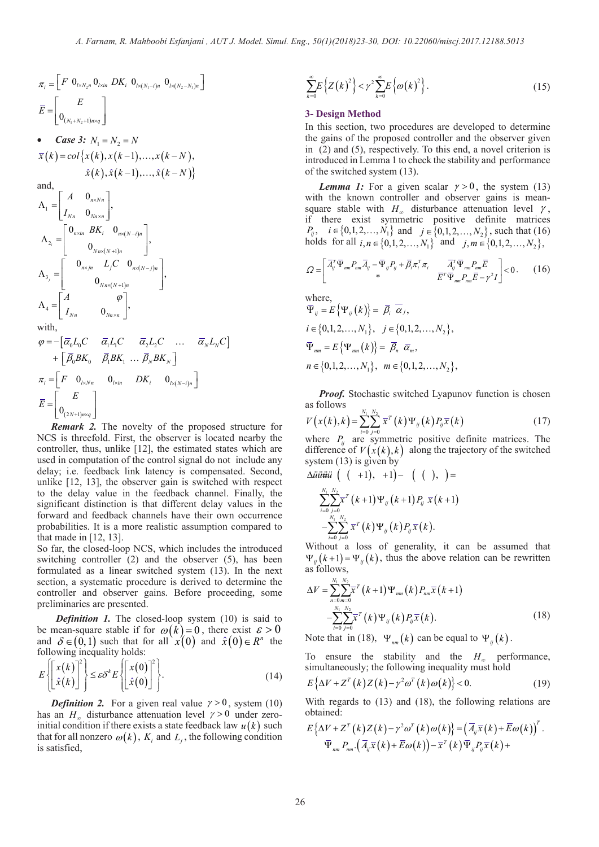$$
\pi_{i} = \begin{bmatrix} F & 0_{l \times N_{2}n} & 0_{l \times (n} & 0_{l \times (N_{1}-i)n} & 0_{l \times (N_{2}-N_{1})n} \end{bmatrix}
$$
\n
$$
\overline{E} = \begin{bmatrix} E \\ 0_{(N_{1}+N_{2}+1)n \times q} \end{bmatrix}
$$
\n**3**\n**1**\n**6**\n**Case 3:**\n
$$
N_{1} = N_{2} = N
$$
\n
$$
\overline{x}(k) = col\left\{x(k), x(k-1), ..., x(k-N), \right\}
$$
\nin  
\n
$$
\hat{x}(k), \hat{x}(k-1), ..., \hat{x}(k-N) \right\}
$$
\nand,  
\n
$$
\Lambda_{1} = \begin{bmatrix} A & 0_{n \times Nn} \\ I_{Nn} & 0_{Nn \times n} \end{bmatrix},
$$
\n
$$
\Lambda_{2_{i}} = \begin{bmatrix} 0_{n \times in} & BK_{i} & 0_{n \times (N-i)n} \\ 0_{Nn \times (N+i)n} & 0 & 0 \\ 0_{Nn \times (N+i)n} & 0 & 0 \\ 0_{Nn \times (N+i)n} & 0 & 0 \\ 0_{Nn \times (N+i)n} & 0 & 0 \end{bmatrix},
$$
\nwith,  
\n
$$
\varphi = -[\overline{\alpha}_{0}L_{0}C & \overline{\alpha}_{1}L_{1}C & \overline{\alpha}_{2}L_{2}C & ... & \overline{\alpha}_{N}L_{N}C] \qquad \overline{q}
$$
\n
$$
+[\overline{\beta}_{0}BK_{0} & \overline{\beta}_{1}BK_{1} ... \overline{\beta}_{N}BK_{N}]
$$
\n
$$
\pi_{i} = \begin{bmatrix} F & 0_{l \times Nn} & 0_{l \times in} & DK_{i} & 0_{l \times (N-i)n} \end{bmatrix}
$$
\n
$$
\overline{E} = \begin{bmatrix} E \\ 0_{(2N+1)n \times q} \end{bmatrix}
$$

*Remark 2.* The novelty of the proposed structure for NCS is threefold. First, the observer is located nearby the controller, thus, unlike [12], the estimated states which are used in computation of the control signal do not include any delay; i.e. feedback link latency is compensated. Second, unlike [12, 13], the observer gain is switched with respect to the delay value in the feedback channel. Finally, the significant distinction is that different delay values in the forward and feedback channels have their own occurrence probabilities. It is a more realistic assumption compared to that made in  $[12, 13]$ .

So far, the closed-loop NCS, which includes the introduced switching controller (2) and the observer (5), has been formulated as a linear switched system (13). In the next section, a systematic procedure is derived to determine the controller and observer gains. Before proceeding, some preliminaries are presented.

*Definition 1***.** The closed-loop system (10) is said to be mean-square stable if for  $\omega(k) = 0$ , there exist  $\varepsilon > 0$ and  $\delta \in (0,1)$  such that for all  $\chi'(0)$  and  $\hat{\chi}(0) \in R^n$  the following inequality holds:

$$
E\left\{\begin{bmatrix} x(k) \\ \hat{x}(k) \end{bmatrix}^2 \right\} \le \varepsilon \delta^k E\left\{\begin{bmatrix} x(0) \\ \hat{x}(0) \end{bmatrix}^2 \right\}.
$$
 (14)

*Definition 2.* For a given real value  $\gamma > 0$ , system (10) has an *H*<sub>∞</sub> disturbance attenuation level  $\gamma > 0$  under zeroinitial condition if there exists a state feedback law  $u(k)$  such that for all nonzero  $\omega(k)$ ,  $K_i$  and  $L_j$ , the following condition is satisfied,

$$
\sum_{k=0}^{\infty} E\left\{Z\left(k\right)^{2}\right\} < \gamma^{2} \sum_{k=0}^{\infty} E\left\{\omega\left(k\right)^{2}\right\}.
$$
 (15)

#### **3- Design Method**

In this section, two procedures are developed to determine the gains of the proposed controller and the observer given in (2) and (5), respectively. To this end, a novel criterion is introduced in Lemma 1 to check the stability and performance of the switched system (13).

*Lemma 1:* For a given scalar  $\gamma > 0$ , the system (13) with the known controller and observer gains is meansquare stable with  $H_{\infty}$  disturbance attenuation level  $\gamma$ , if there exist symmetric positive definite matrices *P<sub>ij</sub>*, *i*∈{0,1,2,..., *N*<sub>1</sub>} and *j*∈{0,1,2,..., *N*<sub>2</sub>}, such that (16) holds for all  $i, n \in \{0, 1, 2, ..., N_1\}$  and  $j, m \in \{0, 1, 2, ..., N_2\}$ ,

$$
Q = \begin{bmatrix} \overline{A}_{ij}^T \overline{\Psi}_{nm} P_{nm} \overline{A}_{ij} - \overline{\Psi}_{ij} P_{ij} + \overline{\beta}_i \pi_i^T \pi_i & \overline{A}_{ij}^T \overline{\Psi}_{nm} P_{nm} \overline{E} \\ * & * & \overline{E}^T \overline{\Psi}_{nm} P_{nm} \overline{E} - \gamma^2 I \end{bmatrix} < 0. \quad (16)
$$
  
where,  

$$
\overline{\Psi}_{ij} = E \{ \Psi_{ij}(k) \} = \overline{\beta}_i \overline{\alpha}_j,
$$

$$
\Psi_{ij} = E\{\Psi_{ij}(k)\} = \beta_i \alpha_j,
$$
  
\n
$$
i \in \{0, 1, 2, ..., N_1\}, \quad j \in \{0, 1, 2, ..., N_2\},
$$
  
\n
$$
\overline{\Psi}_{nm} = E\{\Psi_{nm}(k)\} = \overline{\beta}_n \overline{\alpha}_m,
$$
  
\n
$$
n \in \{0, 1, 2, ..., N_1\}, \quad m \in \{0, 1, 2, ..., N_2\},
$$

*Proof.* Stochastic switched Lyapunov function is chosen as follows

$$
V(x(k),k) = \sum_{i=0}^{N_1} \sum_{j=0}^{N_2} \overline{x}^T(k) \Psi_{ij}(k) P_{ij} \overline{x}(k)
$$
 (17)

where  $P_{ii}$  are symmetric positive definite matrices. The difference of  $V(x(k),k)$  along the trajectory of the switched system (13) is given by

$$
\Delta \ddot{u} \ddot{u} \ddot{u} \ddot{u} \left( ( +1), +1 \right) - ( ( ), ) =
$$
\n
$$
\sum_{i=0}^{N_1} \sum_{j=0}^{N_2} \overline{x}^T (k+1) \Psi_{ij} (k+1) P_{ij} \ \overline{x} (k+1)
$$
\n
$$
- \sum_{i=0}^{N_1} \sum_{j=0}^{N_2} \overline{x}^T (k) \Psi_{ij} (k) P_{ij} \overline{x} (k).
$$

Without a loss of generality, it can be assumed that  $\Psi_{ii}(k+1) = \Psi_{ii}(k)$ , thus the above relation can be rewritten as follows, *N N*

$$
\Delta V = \sum_{n=0}^{N_1} \sum_{m=0}^{N_2} \overline{x}^T (k+1) \Psi_{nm} (k) P_{nm} \overline{x} (k+1)
$$
  
 
$$
- \sum_{i=0}^{N_1} \sum_{j=0}^{N_2} \overline{x}^T (k) \Psi_{ij} (k) P_{ij} \overline{x} (k).
$$
 (18)

Note that in (18),  $\Psi_{nm}(k)$  can be equal to  $\Psi_{n}(k)$ .

To ensure the stability and the *H*∞ performance, simultaneously; the following inequality must hold

$$
E\left\{\Delta V + Z^{T}\left(k\right)Z\left(k\right) - \gamma^{2}\omega^{T}\left(k\right)\omega(k)\right\} < 0. \tag{19}
$$

With regards to (13) and (18), the following relations are obtained:

$$
E\left\{\Delta V + Z^{T}(k)Z(k) - \gamma^{2}\omega^{T}(k)\omega(k)\right\} = \left(\overline{A}_{ij}\overline{x}(k) + \overline{E}\omega(k)\right)^{T}.
$$

$$
\overline{\Psi}_{nm} P_{nm} \cdot \left(\overline{A}_{ij}\overline{x}(k) + \overline{E}\omega(k)\right) - \overline{x}^{T}(k)\overline{\Psi}_{ij} P_{ij}\overline{x}(k) +
$$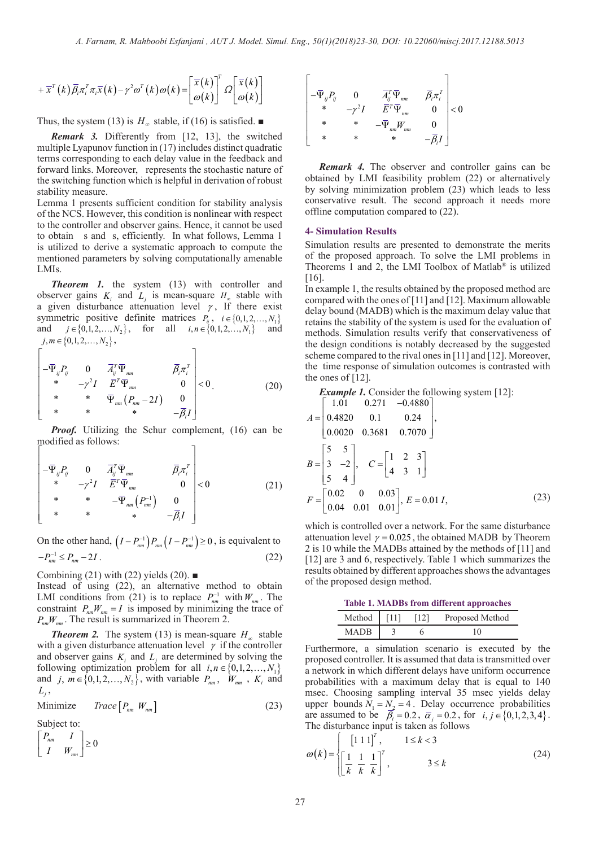$$
+ \overline{x}^T(k) \overline{\beta}_i \pi_i^T \pi_i \overline{x}(k) - \gamma^2 \omega^T(k) \omega(k) = \begin{bmatrix} \overline{x}(k) \\ \omega(k) \end{bmatrix}^T \Omega \begin{bmatrix} \overline{x}(k) \\ \omega(k) \end{bmatrix}
$$

Thus, the system (13) is  $H_{\infty}$  stable, if (16) is satisfied. ■

*Remark 3.* Differently from [12, 13], the switched multiple Lyapunov function in (17) includes distinct quadratic terms corresponding to each delay value in the feedback and forward links. Moreover, represents the stochastic nature of the switching function which is helpful in derivation of robust stability measure.

Lemma 1 presents sufficient condition for stability analysis of the NCS. However, this condition is nonlinear with respect to the controller and observer gains. Hence, it cannot be used to obtain s and s, efficiently. In what follows, Lemma 1 is utilized to derive a systematic approach to compute the mentioned parameters by solving computationally amenable LMIs.

*Theorem 1.* the system (13) with controller and observer gains  $K_i$  and  $L_i$  is mean-square  $H_{\infty}$  stable with a given disturbance attenuation level  $\gamma$ , If there exist symmetric positive definite matrices  $P_{ij}$ ,  $i \in \{0,1,2,...,N_1\}$  and  $i \in \{0,1,2,...,N_2\}$ , for all  $i, n \in \{0,1,2,...,N_1\}$  and  $j \in \{0,1,2,..., N_2\}$ , for all  $i, n \in \{0,1,2,..., N_1\}$  and  $j, m \in \{0, 1, 2, ..., N, \},$ 

$$
\begin{bmatrix}\n-\overline{\Psi}_{ij}P_{ij} & 0 & \overline{A}_{ij}^T \overline{\Psi}_{nm} & \overline{B}_{i}\pi_{i}^T \\
* & -\gamma^2 I & \overline{E}^T \overline{\Psi}_{nm} & 0 \\
* & * & \overline{\Psi}_{nm}(P_{nm}-2I) & 0 \\
* & * & * & -\overline{B}_{i}I\n\end{bmatrix} < 0.
$$
\n(20)

*Proof.* Utilizing the Schur complement, (16) can be modified as follows:

$$
\begin{bmatrix}\n-\overline{\Psi}_{ij}P_{ij} & 0 & \overline{A}_{ij}^T \overline{\Psi}_{nm} & \overline{\beta}_i \pi_i^T \\
* & -\gamma^2 I & \overline{E}^T \overline{\Psi}_{nm} & 0 \\
* & * & -\overline{\Psi}_{nm} \left(P_{nm}^{-1}\right) & 0 \\
* & * & * & -\overline{\beta}_i I\n\end{bmatrix} < 0
$$
\n(21)

On the other hand,  $(I - P_{nm}^{-1}) P_{nm} (I - P_{nm}^{-1}) \ge 0$ , is equivalent to  $-P_{nm}^{-1} \le P_{nm} - 2I$  . (22)

Combining (21) with (22) yields (20).  $\blacksquare$ 

Instead of using (22), an alternative method to obtain LMI conditions from (21) is to replace  $P_{nm}^{-1}$  with  $W_{nm}$ . The constraint  $P_{nm}W_{nm} = I$  is imposed by minimizing the trace of  $P_{nm}W_{nm}$ . The result is summarized in Theorem 2.

*Theorem 2.* The system (13) is mean-square  $H_{\infty}$  stable with a given disturbance attenuation level  $\gamma$  if the controller and observer gains  $K_i$  and  $L_i$  are determined by solving the following optimization problem for all  $i, n \in \{0, 1, 2, ..., N_1\}$ and  $j, m \in \{0,1,2,\ldots,N_2\}$ , with variable  $P_{nm}$ ,  $W_{nm}$ ,  $K_i$  and  $L_i$ ,

$$
Minimize \t Trace \t[ P_{nm} W_{nm} ] \t(23)
$$

Subject to:

 $\begin{vmatrix} n m & 1 \\ 2 & 0 \end{vmatrix} \geq 0$ *nm*  $P_{nm}$  *I*  $\begin{bmatrix} P_{nm} & I \\ I & W_{nm} \end{bmatrix} \geq$ 



*Remark 4.* The observer and controller gains can be obtained by LMI feasibility problem (22) or alternatively by solving minimization problem (23) which leads to less conservative result. The second approach it needs more offline computation compared to (22).

#### **4- Simulation Results**

Simulation results are presented to demonstrate the merits of the proposed approach. To solve the LMI problems in Theorems 1 and 2, the LMI Toolbox of Matlab® is utilized [16].

In example 1, the results obtained by the proposed method are compared with the ones of [11] and [12]. Maximum allowable delay bound (MADB) which is the maximum delay value that retains the stability of the system is used for the evaluation of methods. Simulation results verify that conservativeness of the design conditions is notably decreased by the suggested scheme compared to the rival ones in [11] and [12]. Moreover, the time response of simulation outcomes is contrasted with the ones of [12].

*Example 1.* Consider the following system [12]:

$$
A = \begin{bmatrix} 1.01 & 0.271 & -0.4880 \\ 0.4820 & 0.1 & 0.24 \\ 0.0020 & 0.3681 & 0.7070 \end{bmatrix},
$$
  
\n
$$
B = \begin{bmatrix} 5 & 5 \\ 3 & -2 \\ 5 & 4 \end{bmatrix}, \quad C = \begin{bmatrix} 1 & 2 & 3 \\ 4 & 3 & 1 \end{bmatrix}
$$
  
\n
$$
F = \begin{bmatrix} 0.02 & 0 & 0.03 \\ 0.04 & 0.01 & 0.01 \end{bmatrix}, E = 0.01 I,
$$
 (23)

which is controlled over a network. For the same disturbance attenuation level  $\gamma = 0.025$ , the obtained MADB by Theorem 2 is 10 while the MADBs attained by the methods of [11] and [12] are 3 and 6, respectively. Table 1 which summarizes the results obtained by different approaches shows the advantages of the proposed design method.

| <b>Table 1. MADBs from different approaches</b> |  |  |                      |  |
|-------------------------------------------------|--|--|----------------------|--|
| Method [ $11$ ]                                 |  |  | [12] Proposed Method |  |
| <b>MADB</b>                                     |  |  | 10                   |  |

Furthermore, a simulation scenario is executed by the proposed controller. It is assumed that data is transmitted over a network in which different delays have uniform occurrence probabilities with a maximum delay that is equal to 140 msec. Choosing sampling interval 35 msec yields delay upper bounds  $N_1 = N_2 = 4$ . Delay occurrence probabilities are assumed to be  $\vec{\beta}_i = 0.2$ ,  $\vec{\alpha}_i = 0.2$ , for  $i, j \in \{0, 1, 2, 3, 4\}$ . The disturbance input is taken as follows

$$
\omega(k) = \begin{cases} \begin{bmatrix} 1 & 1 & 1 \end{bmatrix}^T, & 1 \le k < 3\\ \begin{bmatrix} \frac{1}{k} & \frac{1}{k} & \frac{1}{k} \end{bmatrix}^T, & 3 \le k \end{cases} \tag{24}
$$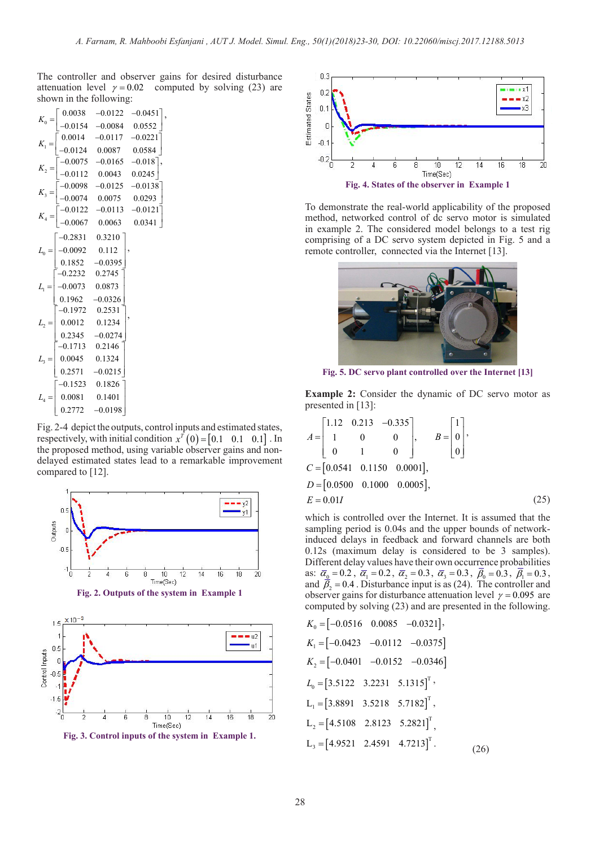The controller and observer gains for desired disturbance attenuation level  $\gamma = 0.02$  computed by solving (23) are shown in the following:

,

,

| $K_0 =$      | 0.0038             | $-0.0122$                                                    | $-0.0451$                                                                               |
|--------------|--------------------|--------------------------------------------------------------|-----------------------------------------------------------------------------------------|
|              |                    | $0.0154 -0.0084$                                             | 0.0552                                                                                  |
| $K_1 =$      |                    |                                                              | $\begin{bmatrix} 0.0014 & -0.0117 & -0.0221 \\ -0.0124 & 0.0087 & 0.0584 \end{bmatrix}$ |
|              |                    |                                                              |                                                                                         |
| $K_2 =$      |                    | $0.0075$ -0.0165 -0.018 <sup>-</sup><br>0.0112 0.0043 0.0245 | ı,                                                                                      |
|              |                    |                                                              |                                                                                         |
| $K_3 =$      |                    | $-0.0098$ $-0.0125$<br>$-0.0074$ 0.0075                      | $-0.0138$ <sup>-</sup>                                                                  |
|              |                    |                                                              | 0.0293                                                                                  |
| $K_4 =$      |                    | $-0.0122$ $-0.0113$<br>$-0.0067$ 0.0063                      | $-0.0121$                                                                               |
|              |                    |                                                              | 0.0341                                                                                  |
| $L_{0}$      |                    | $-0.2831$ $0.3210$                                           |                                                                                         |
|              | $-0.0092$ 0.112    |                                                              |                                                                                         |
|              |                    | $0.1852 -0.0395$                                             |                                                                                         |
|              | $-0.2232$ $0.2745$ |                                                              |                                                                                         |
|              | $-0.0073$ 0.0873   |                                                              |                                                                                         |
|              |                    | $0.1962 -0.0326$                                             |                                                                                         |
| ${\cal L}_2$ |                    | $-0.1972$ $0.2531$                                           |                                                                                         |
|              | $0.0012$ 0.1234    |                                                              |                                                                                         |
|              |                    | $0.2345 -0.0274$                                             |                                                                                         |
|              | $-0.1713$ 0.2146   |                                                              |                                                                                         |
|              | 0.0045  0.1324     |                                                              |                                                                                         |
|              | 0.2571             | $-0.0215$                                                    |                                                                                         |
| $L_4 =$      |                    | $-0.1523$ $0.1826$                                           |                                                                                         |
|              | 0.0081             | 0.1401                                                       |                                                                                         |
|              | 0.2772             | $-0.0198$                                                    |                                                                                         |

Fig. 2-4 depict the outputs, control inputs and estimated states, respectively, with initial condition  $x^{\bar{T}}(0) = [0.1 \ 0.1 \ 0.1 ]$ . In the proposed method, using variable observer gains and nondelayed estimated states lead to a remarkable improvement compared to [12].



**Fig. 3. Control inputs of the system in Example 1.**



To demonstrate the real-world applicability of the proposed method, networked control of dc servo motor is simulated in example 2. The considered model belongs to a test rig comprising of a DC servo system depicted in Fig. 5 and a remote controller, connected via the Internet [13].



**Fig. 5. DC servo plant controlled over the Internet [13]**

**Example 2:** Consider the dynamic of DC servo motor as presented in [13]:

$$
A = \begin{bmatrix} 1.12 & 0.213 & -0.335 \\ 1 & 0 & 0 \\ 0 & 1 & 0 \end{bmatrix}, \qquad B = \begin{bmatrix} 1 \\ 0 \\ 0 \end{bmatrix},
$$
  
\n
$$
C = [0.0541 \quad 0.1150 \quad 0.0001],
$$
  
\n
$$
D = [0.0500 \quad 0.1000 \quad 0.0005],
$$
  
\n
$$
E = 0.01I
$$
 (25)

which is controlled over the Internet. It is assumed that the sampling period is 0.04s and the upper bounds of networkinduced delays in feedback and forward channels are both 0.12s (maximum delay is considered to be 3 samples). Different delay values have their own occurrence probabilities as:  $\bar{\alpha}_0 = 0.2$ ,  $\bar{\alpha}_1 = 0.2$ ,  $\bar{\alpha}_2 = 0.3$ ,  $\bar{\alpha}_3 = 0.3$ ,  $\bar{\beta}_0 = 0.3$ ,  $\bar{\beta}_1 = 0.3$ , and  $\overline{\beta}_2 = 0.4$ . Disturbance input is as (24). The controller and observer gains for disturbance attenuation level  $\gamma = 0.095$  are computed by solving (23) and are presented in the following.

$$
K_0 = [-0.0516 \quad 0.0085 \quad -0.0321],
$$
  
\n
$$
K_1 = [-0.0423 \quad -0.0112 \quad -0.0375]
$$
  
\n
$$
K_2 = [-0.0401 \quad -0.0152 \quad -0.0346]
$$
  
\n
$$
L_0 = [3.5122 \quad 3.2231 \quad 5.1315]^T,
$$
  
\n
$$
L_1 = [3.8891 \quad 3.5218 \quad 5.7182]^T,
$$
  
\n
$$
L_2 = [4.5108 \quad 2.8123 \quad 5.2821]^T,
$$
  
\n
$$
L_3 = [4.9521 \quad 2.4591 \quad 4.7213]^T.
$$
 (26)